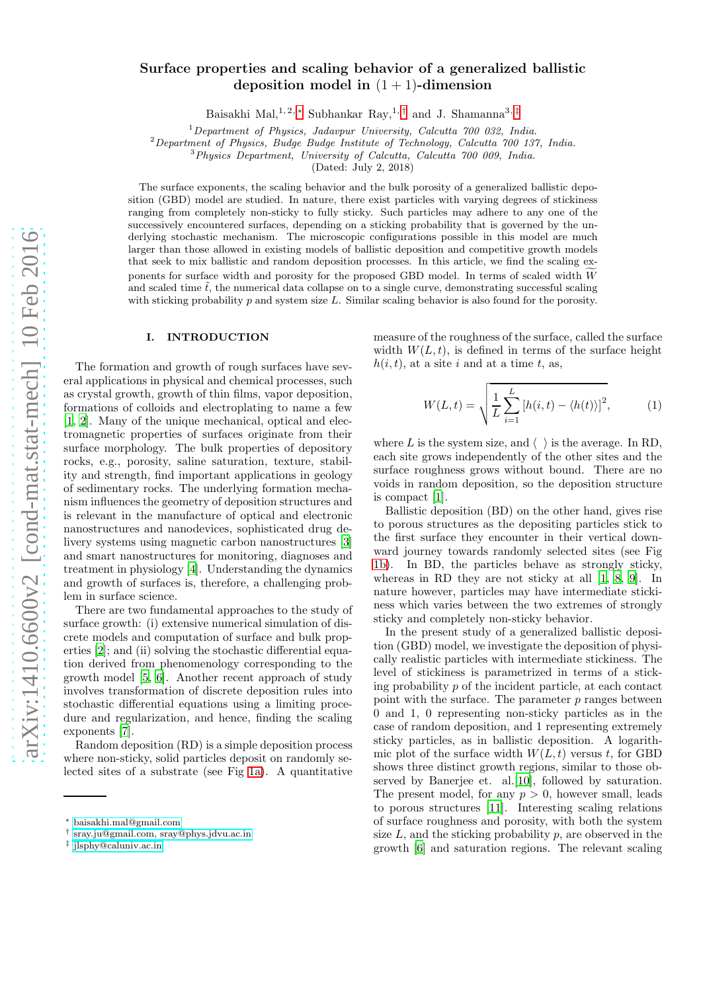# Surface properties and scaling behavior of a generalized ballistic deposition model in  $(1 + 1)$ -dimension

Baisakhi Mal,<sup>1,2,\*</sup> Subhankar Ray,<sup>1,[†](#page-0-1)</sup> and J. Shamanna<sup>3,[‡](#page-0-2)</sup>

<sup>1</sup>Department of Physics, Jadavpur University, Calcutta  $700$  032, India.

<sup>2</sup>Department of Physics, Budge Budge Institute of Technology, Calcutta 700 137, India.

<sup>3</sup>Physics Department, University of Calcutta, Calcutta 700 009, India.

(Dated: July 2, 2018)

The surface exponents, the scaling behavior and the bulk porosity of a generalized ballistic deposition (GBD) model are studied. In nature, there exist particles with varying degrees of stickiness ranging from completely non-sticky to fully sticky. Such particles may adhere to any one of the successively encountered surfaces, depending on a sticking probability that is governed by the underlying stochastic mechanism. The microscopic configurations possible in this model are much larger than those allowed in existing models of ballistic deposition and competitive growth models that seek to mix ballistic and random deposition processes. In this article, we find the scaling exponents for surface width and porosity for the proposed GBD model. In terms of scaled width  $\tilde{W}$ and scaled time  $\tilde{t}$ , the numerical data collapse on to a single curve, demonstrating successful scaling with sticking probability  $p$  and system size  $L$ . Similar scaling behavior is also found for the porosity.

#### I. INTRODUCTION

The formation and growth of rough surfaces have several applications in physical and chemical processes, such as crystal growth, growth of thin films, vapor deposition, formations of colloids and electroplating to name a few [\[1,](#page-6-0) [2\]](#page-6-1). Many of the unique mechanical, optical and electromagnetic properties of surfaces originate from their surface morphology. The bulk properties of depository rocks, e.g., porosity, saline saturation, texture, stability and strength, find important applications in geology of sedimentary rocks. The underlying formation mechanism influences the geometry of deposition structures and is relevant in the manufacture of optical and electronic nanostructures and nanodevices, sophisticated drug delivery systems using magnetic carbon nanostructures [\[3](#page-6-2)] and smart nanostructures for monitoring, diagnoses and treatment in physiology [\[4\]](#page-6-3). Understanding the dynamics and growth of surfaces is, therefore, a challenging problem in surface science.

There are two fundamental approaches to the study of surface growth: (i) extensive numerical simulation of discrete models and computation of surface and bulk properties [\[2\]](#page-6-1); and (ii) solving the stochastic differential equation derived from phenomenology corresponding to the growth model [\[5](#page-6-4), [6\]](#page-6-5). Another recent approach of study involves transformation of discrete deposition rules into stochastic differential equations using a limiting procedure and regularization, and hence, finding the scaling exponents [\[7\]](#page-6-6).

Random deposition (RD) is a simple deposition process where non-sticky, solid particles deposit on randomly selected sites of a substrate (see Fig [1a\)](#page-1-0). A quantitative measure of the roughness of the surface, called the surface width  $W(L, t)$ , is defined in terms of the surface height  $h(i, t)$ , at a site i and at a time t, as,

$$
W(L,t) = \sqrt{\frac{1}{L} \sum_{i=1}^{L} \left[ h(i,t) - \langle h(t) \rangle \right]^2},\tag{1}
$$

where L is the system size, and  $\langle \ \rangle$  is the average. In RD, each site grows independently of the other sites and the surface roughness grows without bound. There are no voids in random deposition, so the deposition structure is compact [\[1\]](#page-6-0).

Ballistic deposition (BD) on the other hand, gives rise to porous structures as the depositing particles stick to the first surface they encounter in their vertical downward journey towards randomly selected sites (see Fig [1b\)](#page-1-1). In BD, the particles behave as strongly sticky, whereas in RD they are not sticky at all [\[1,](#page-6-0) [8](#page-6-7), [9](#page-6-8)]. In nature however, particles may have intermediate stickiness which varies between the two extremes of strongly sticky and completely non-sticky behavior.

In the present study of a generalized ballistic deposition (GBD) model, we investigate the deposition of physically realistic particles with intermediate stickiness. The level of stickiness is parametrized in terms of a sticking probability p of the incident particle, at each contact point with the surface. The parameter  $p$  ranges between 0 and 1, 0 representing non-sticky particles as in the case of random deposition, and 1 representing extremely sticky particles, as in ballistic deposition. A logarithmic plot of the surface width  $W(L, t)$  versus t, for GBD shows three distinct growth regions, similar to those observed by Banerjee et. al.[\[10\]](#page-6-9), followed by saturation. The present model, for any  $p > 0$ , however small, leads to porous structures [\[11](#page-6-10)]. Interesting scaling relations of surface roughness and porosity, with both the system size  $L$ , and the sticking probability  $p$ , are observed in the growth [\[6\]](#page-6-5) and saturation regions. The relevant scaling

<span id="page-0-0"></span><sup>∗</sup> [baisakhi.mal@gmail.com](mailto:baisakhi.mal@gmail.com)

<span id="page-0-1"></span><sup>†</sup> [sray.ju@gmail.com, sray@phys.jdvu.ac.in](mailto:sray.ju@gmail.com, sray@phys.jdvu.ac.in)

<span id="page-0-2"></span><sup>‡</sup> [jlsphy@caluniv.ac.in](mailto:jlsphy@caluniv.ac.in)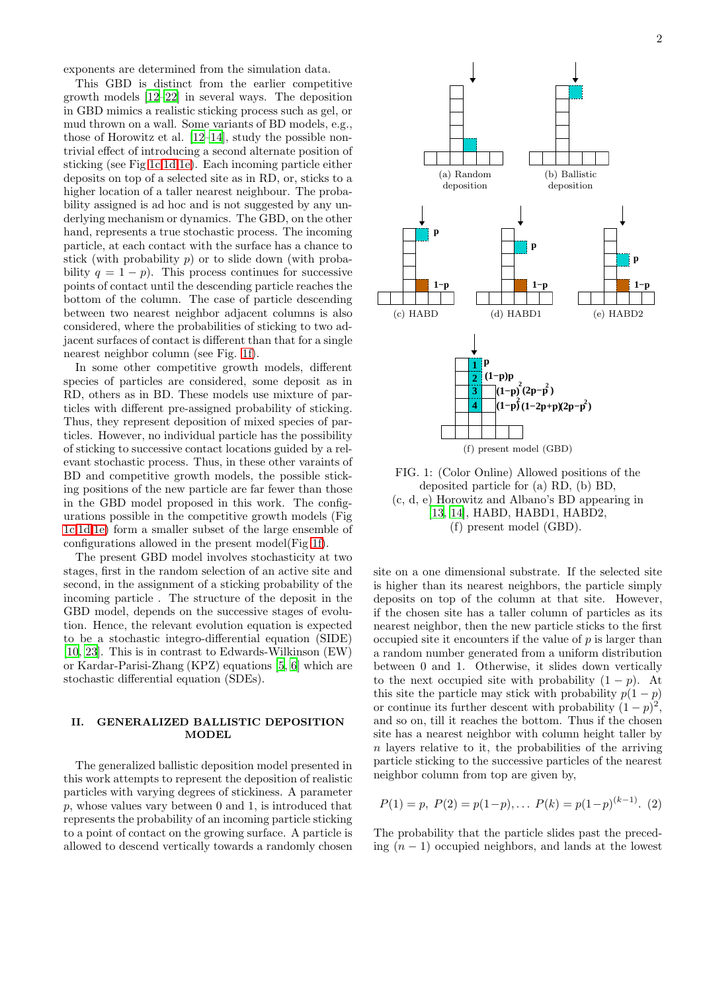exponents are determined from the simulation data.

This GBD is distinct from the earlier competitive growth models [\[12](#page-6-11)[–22](#page-6-12)] in several ways. The deposition in GBD mimics a realistic sticking process such as gel, or mud thrown on a wall. Some variants of BD models, e.g., those of Horowitz et al. [\[12](#page-6-11)[–14\]](#page-6-13), study the possible nontrivial effect of introducing a second alternate position of sticking (see Fig [1c,](#page-1-2)[1d](#page-1-3)[,1e\)](#page-1-4). Each incoming particle either deposits on top of a selected site as in RD, or, sticks to a higher location of a taller nearest neighbour. The probability assigned is ad hoc and is not suggested by any underlying mechanism or dynamics. The GBD, on the other hand, represents a true stochastic process. The incoming particle, at each contact with the surface has a chance to stick (with probability  $p$ ) or to slide down (with probability  $q = 1 - p$ . This process continues for successive points of contact until the descending particle reaches the bottom of the column. The case of particle descending between two nearest neighbor adjacent columns is also considered, where the probabilities of sticking to two adjacent surfaces of contact is different than that for a single nearest neighbor column (see Fig. [1f\)](#page-1-5).

In some other competitive growth models, different species of particles are considered, some deposit as in RD, others as in BD. These models use mixture of particles with different pre-assigned probability of sticking. Thus, they represent deposition of mixed species of particles. However, no individual particle has the possibility of sticking to successive contact locations guided by a relevant stochastic process. Thus, in these other varaints of BD and competitive growth models, the possible sticking positions of the new particle are far fewer than those in the GBD model proposed in this work. The configurations possible in the competitive growth models (Fig [1c](#page-1-2)[,1d](#page-1-3)[,1e\)](#page-1-4) form a smaller subset of the large ensemble of configurations allowed in the present model(Fig [1f\)](#page-1-5).

The present GBD model involves stochasticity at two stages, first in the random selection of an active site and second, in the assignment of a sticking probability of the incoming particle . The structure of the deposit in the GBD model, depends on the successive stages of evolution. Hence, the relevant evolution equation is expected to be a stochastic integro-differential equation (SIDE) [\[10,](#page-6-9) [23\]](#page-6-14). This is in contrast to Edwards-Wilkinson (EW) or Kardar-Parisi-Zhang (KPZ) equations [\[5](#page-6-4), [6](#page-6-5)] which are stochastic differential equation (SDEs).

## <span id="page-1-6"></span>II. GENERALIZED BALLISTIC DEPOSITION **MODEL**

The generalized ballistic deposition model presented in this work attempts to represent the deposition of realistic particles with varying degrees of stickiness. A parameter p, whose values vary between 0 and 1, is introduced that represents the probability of an incoming particle sticking to a point of contact on the growing surface. A particle is allowed to descend vertically towards a randomly chosen

<span id="page-1-2"></span><span id="page-1-1"></span><span id="page-1-0"></span>

<span id="page-1-5"></span><span id="page-1-4"></span><span id="page-1-3"></span>FIG. 1: (Color Online) Allowed positions of the deposited particle for (a) RD, (b) BD, (c, d, e) Horowitz and Albano's BD appearing in [\[13,](#page-6-15) [14\]](#page-6-13), HABD, HABD1, HABD2, (f) present model (GBD).

site on a one dimensional substrate. If the selected site is higher than its nearest neighbors, the particle simply deposits on top of the column at that site. However, if the chosen site has a taller column of particles as its nearest neighbor, then the new particle sticks to the first occupied site it encounters if the value of  $p$  is larger than a random number generated from a uniform distribution between 0 and 1. Otherwise, it slides down vertically to the next occupied site with probability  $(1 - p)$ . At this site the particle may stick with probability  $p(1-p)$ or continue its further descent with probability  $(1-p)^2$ , and so on, till it reaches the bottom. Thus if the chosen site has a nearest neighbor with column height taller by  $n$  layers relative to it, the probabilities of the arriving particle sticking to the successive particles of the nearest neighbor column from top are given by,

$$
P(1) = p, P(2) = p(1-p), \dots P(k) = p(1-p)^{(k-1)}.
$$
 (2)

The probability that the particle slides past the preceding  $(n - 1)$  occupied neighbors, and lands at the lowest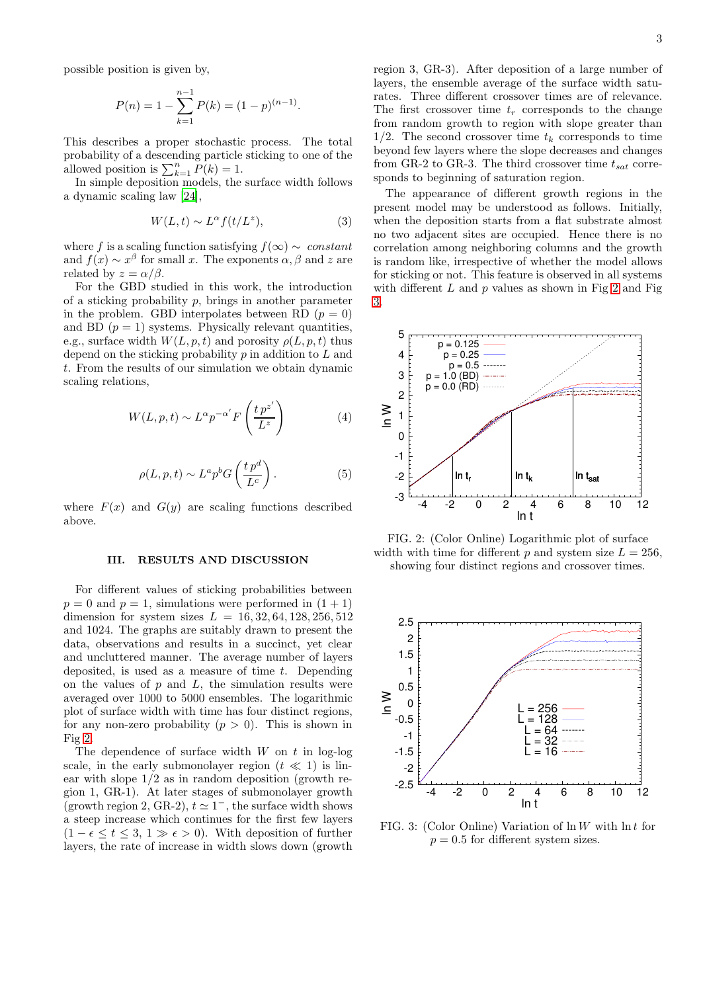possible position is given by,

$$
P(n) = 1 - \sum_{k=1}^{n-1} P(k) = (1-p)^{(n-1)}.
$$

This describes a proper stochastic process. The total probability of a descending particle sticking to one of the allowed position is  $\sum_{k=1}^{n} P(k) = 1$ .

In simple deposition models, the surface width follows a dynamic scaling law [\[24\]](#page-6-16),

$$
W(L, t) \sim L^{\alpha} f(t/L^{z}), \qquad (3)
$$

where f is a scaling function satisfying  $f(\infty) \sim constant$ and  $f(x) \sim x^{\beta}$  for small x. The exponents  $\alpha, \beta$  and z are related by  $z = \alpha/\beta$ .

For the GBD studied in this work, the introduction of a sticking probability  $p$ , brings in another parameter in the problem. GBD interpolates between RD  $(p = 0)$ and BD  $(p = 1)$  systems. Physically relevant quantities, e.g., surface width  $W(L, p, t)$  and porosity  $\rho(L, p, t)$  thus depend on the sticking probability  $p$  in addition to  $\tilde{L}$  and t. From the results of our simulation we obtain dynamic scaling relations,

<span id="page-2-2"></span>
$$
W(L, p, t) \sim L^{\alpha} p^{-\alpha'} F\left(\frac{t p^{z'}}{L^z}\right)
$$
 (4)

<span id="page-2-3"></span>
$$
\rho(L, p, t) \sim L^a p^b G\left(\frac{t p^d}{L^c}\right). \tag{5}
$$

where  $F(x)$  and  $G(y)$  are scaling functions described above.

## III. RESULTS AND DISCUSSION

For different values of sticking probabilities between  $p = 0$  and  $p = 1$ , simulations were performed in  $(1 + 1)$ dimension for system sizes  $L = 16, 32, 64, 128, 256, 512$ and 1024. The graphs are suitably drawn to present the data, observations and results in a succinct, yet clear and uncluttered manner. The average number of layers deposited, is used as a measure of time  $t$ . Depending on the values of  $p$  and  $L$ , the simulation results were averaged over 1000 to 5000 ensembles. The logarithmic plot of surface width with time has four distinct regions, for any non-zero probability  $(p > 0)$ . This is shown in Fig [2.](#page-2-0)

The dependence of surface width  $W$  on  $t$  in log-log scale, in the early submonolayer region  $(t \ll 1)$  is linear with slope  $1/2$  as in random deposition (growth region 1, GR-1). At later stages of submonolayer growth (growth region 2, GR-2),  $t \approx 1^-$ , the surface width shows a steep increase which continues for the first few layers  $(1 - \epsilon \leq t \leq 3, 1 \gg \epsilon > 0)$ . With deposition of further layers, the rate of increase in width slows down (growth region 3, GR-3). After deposition of a large number of layers, the ensemble average of the surface width saturates. Three different crossover times are of relevance. The first crossover time  $t_r$  corresponds to the change from random growth to region with slope greater than  $1/2$ . The second crossover time  $t_k$  corresponds to time beyond few layers where the slope decreases and changes from GR-2 to GR-3. The third crossover time  $t_{sat}$  corresponds to beginning of saturation region.

The appearance of different growth regions in the present model may be understood as follows. Initially, when the deposition starts from a flat substrate almost no two adjacent sites are occupied. Hence there is no correlation among neighboring columns and the growth is random like, irrespective of whether the model allows for sticking or not. This feature is observed in all systems with different  $L$  and  $p$  values as shown in Fig [2](#page-2-0) and Fig [3.](#page-2-1)

<span id="page-2-0"></span>

FIG. 2: (Color Online) Logarithmic plot of surface width with time for different p and system size  $L = 256$ , showing four distinct regions and crossover times.

<span id="page-2-1"></span>

FIG. 3: (Color Online) Variation of  $\ln W$  with  $\ln t$  for  $p = 0.5$  for different system sizes.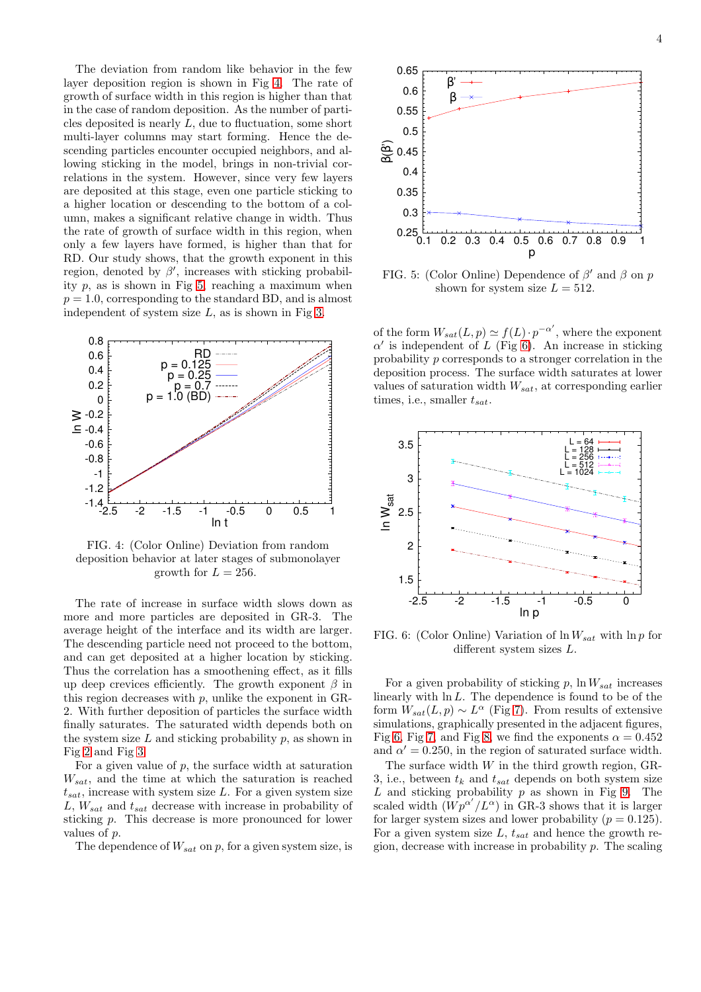The deviation from random like behavior in the few layer deposition region is shown in Fig [4.](#page-3-0) The rate of growth of surface width in this region is higher than that in the case of random deposition. As the number of particles deposited is nearly L, due to fluctuation, some short multi-layer columns may start forming. Hence the descending particles encounter occupied neighbors, and allowing sticking in the model, brings in non-trivial correlations in the system. However, since very few layers are deposited at this stage, even one particle sticking to a higher location or descending to the bottom of a column, makes a significant relative change in width. Thus the rate of growth of surface width in this region, when only a few layers have formed, is higher than that for RD. Our study shows, that the growth exponent in this region, denoted by  $\beta'$ , increases with sticking probability  $p$ , as is shown in Fig [5,](#page-3-1) reaching a maximum when  $p = 1.0$ , corresponding to the standard BD, and is almost independent of system size  $L$ , as is shown in Fig [3.](#page-2-1)

<span id="page-3-0"></span>

FIG. 4: (Color Online) Deviation from random deposition behavior at later stages of submonolayer growth for  $L = 256$ .

The rate of increase in surface width slows down as more and more particles are deposited in GR-3. The average height of the interface and its width are larger. The descending particle need not proceed to the bottom, and can get deposited at a higher location by sticking. Thus the correlation has a smoothening effect, as it fills up deep crevices efficiently. The growth exponent  $\beta$  in this region decreases with p, unlike the exponent in GR-2. With further deposition of particles the surface width finally saturates. The saturated width depends both on the system size  $L$  and sticking probability  $p$ , as shown in Fig [2](#page-2-0) and Fig [3.](#page-2-1)

For a given value of  $p$ , the surface width at saturation  $W_{sat}$ , and the time at which the saturation is reached  $t_{sat}$ , increase with system size L. For a given system size L,  $W_{sat}$  and  $t_{sat}$  decrease with increase in probability of sticking p. This decrease is more pronounced for lower values of p.

The dependence of  $W_{sat}$  on p, for a given system size, is

<span id="page-3-1"></span>

FIG. 5: (Color Online) Dependence of  $\beta'$  and  $\beta$  on p shown for system size  $L = 512$ .

of the form  $W_{sat}(L,p) \simeq f(L) \cdot p^{-\alpha'}$ , where the exponent  $\alpha'$  is independent of L (Fig [6\)](#page-3-2). An increase in sticking probability p corresponds to a stronger correlation in the deposition process. The surface width saturates at lower values of saturation width  $W_{sat}$ , at corresponding earlier times, i.e., smaller  $t_{sat}$ .

<span id="page-3-2"></span>

FIG. 6: (Color Online) Variation of  $\ln W_{sat}$  with  $\ln p$  for different system sizes L.

For a given probability of sticking  $p$ , ln  $W_{sat}$  increases linearly with  $\ln L$ . The dependence is found to be of the form  $W_{sat}(L,p) \sim L^{\alpha}$  (Fig [7\)](#page-4-0). From results of extensive simulations, graphically presented in the adjacent figures, Fig [6,](#page-3-2) Fig [7,](#page-4-0) and Fig [8,](#page-4-1) we find the exponents  $\alpha = 0.452$ and  $\alpha' = 0.250$ , in the region of saturated surface width.

The surface width  $W$  in the third growth region, GR-3, i.e., between  $t_k$  and  $t_{sat}$  depends on both system size  $L$  and sticking probability  $p$  as shown in Fig [9.](#page-4-2) The scaled width  $(Wp^{\alpha'}/L^{\alpha})$  in GR-3 shows that it is larger for larger system sizes and lower probability ( $p = 0.125$ ). For a given system size L,  $t_{sat}$  and hence the growth region, decrease with increase in probability p. The scaling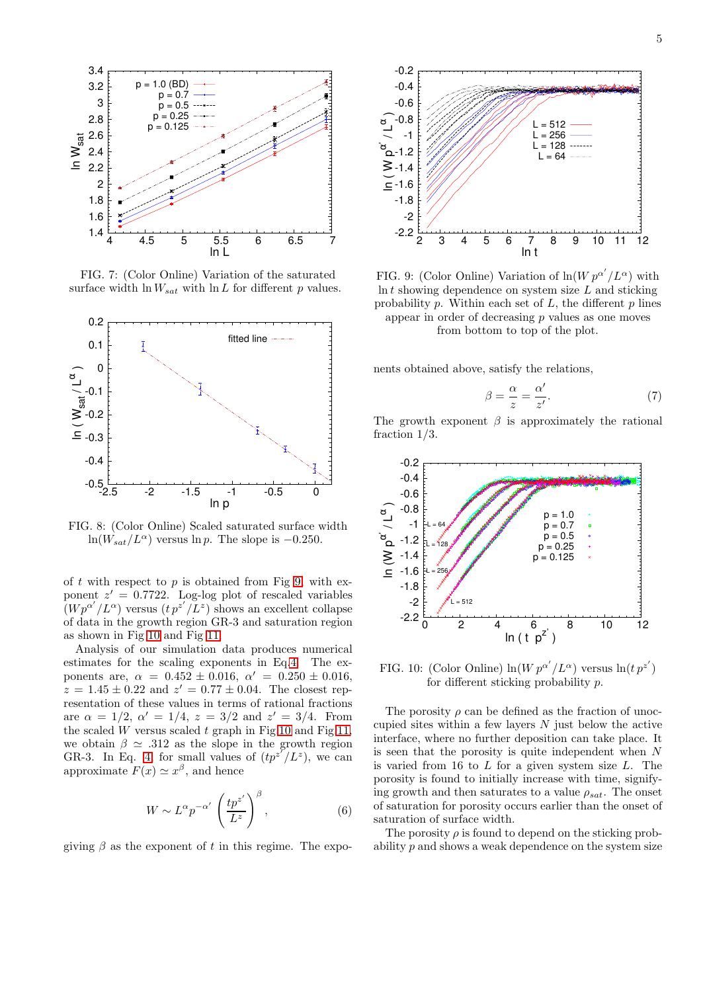<span id="page-4-0"></span>

FIG. 7: (Color Online) Variation of the saturated surface width  $\ln W_{sat}$  with  $\ln L$  for different p values.

<span id="page-4-1"></span>

FIG. 8: (Color Online) Scaled saturated surface width ln( $W_{sat}/L^{\alpha}$ ) versus ln p. The slope is -0.250.

of t with respect to p is obtained from Fig [9,](#page-4-2) with exponent  $z' = 0.7722$ . Log-log plot of rescaled variables  $(Wp^{\alpha'}/L^{\alpha})$  versus  $(t p^{z'}/L^z)$  shows an excellent collapse of data in the growth region GR-3 and saturation region as shown in Fig [10](#page-4-3) and Fig [11.](#page-5-0)

Analysis of our simulation data produces numerical estimates for the scaling exponents in Eq[.4.](#page-2-2) The exponents are,  $\alpha = 0.452 \pm 0.016$ ,  $\alpha' = 0.250 \pm 0.016$ ,  $z = 1.45 \pm 0.22$  and  $z' = 0.77 \pm 0.04$ . The closest representation of these values in terms of rational fractions are  $\alpha = 1/2$ ,  $\alpha' = 1/4$ ,  $z = 3/2$  and  $z' = 3/4$ . From the scaled W versus scaled t graph in Fig[.10](#page-4-3) and Fig[.11,](#page-5-0) we obtain  $\beta \simeq .312$  as the slope in the growth region GR-3. In Eq. [4,](#page-2-2) for small values of  $(tp^{z'}/L^{z})$ , we can approximate  $F(x) \simeq x^{\beta}$ , and hence

$$
W \sim L^{\alpha} p^{-\alpha'} \left(\frac{tp^{z'}}{L^z}\right)^{\beta},\tag{6}
$$

giving  $\beta$  as the exponent of t in this regime. The expo-

<span id="page-4-2"></span>

FIG. 9: (Color Online) Variation of  $\ln(W p^{\alpha'}/L^{\alpha})$  with  $\ln t$  showing dependence on system size  $L$  and sticking probability  $p$ . Within each set of  $L$ , the different  $p$  lines appear in order of decreasing  $p$  values as one moves from bottom to top of the plot.

nents obtained above, satisfy the relations,

$$
\beta = \frac{\alpha}{z} = \frac{\alpha'}{z'}.
$$
\n(7)

The growth exponent  $\beta$  is approximately the rational fraction 1/3.

<span id="page-4-3"></span>

FIG. 10: (Color Online)  $\ln(W p^{\alpha'}/L^{\alpha})$  versus  $\ln(t p^{z'})$ for different sticking probability p.

The porosity  $\rho$  can be defined as the fraction of unoccupied sites within a few layers  $N$  just below the active interface, where no further deposition can take place. It is seen that the porosity is quite independent when  $N$ is varied from 16 to  $L$  for a given system size  $L$ . The porosity is found to initially increase with time, signifying growth and then saturates to a value  $\rho_{sat}$ . The onset of saturation for porosity occurs earlier than the onset of saturation of surface width.

The porosity  $\rho$  is found to depend on the sticking probability p and shows a weak dependence on the system size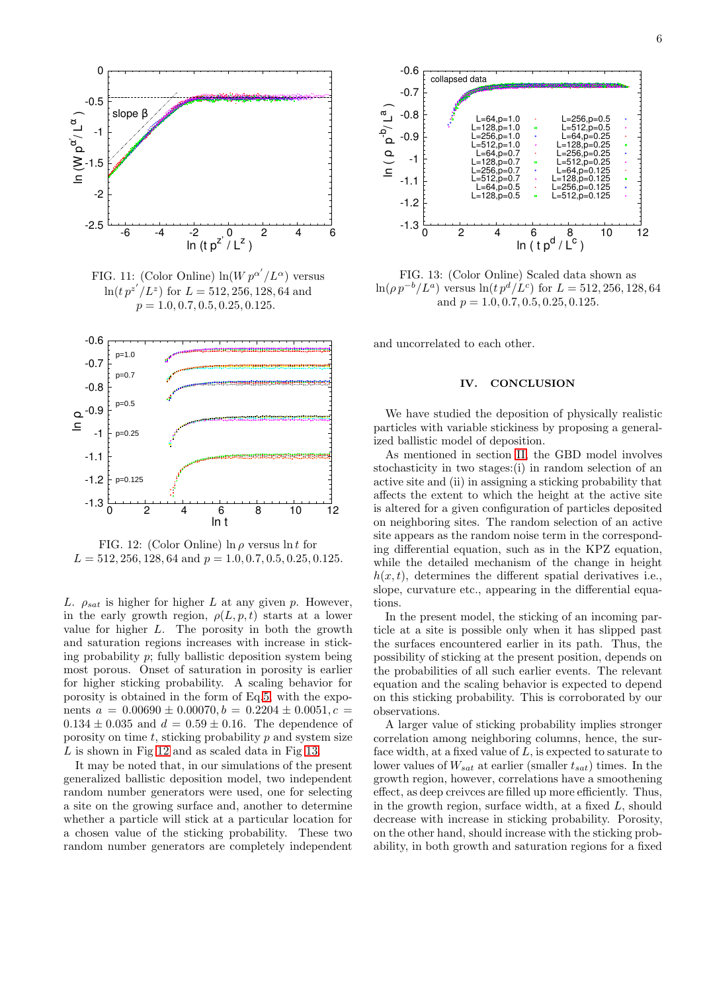

<span id="page-5-0"></span>

FIG. 11: (Color Online)  $ln(W p^{\alpha'}/L^{\alpha})$  versus  $\ln(t p^{z'} / L^z)$  for  $L = 512, 256, 128, 64$  and  $p = 1.0, 0.7, 0.5, 0.25, 0.125.$ 

<span id="page-5-1"></span>

FIG. 12: (Color Online)  $\ln \rho$  versus  $\ln t$  for  $L = 512, 256, 128, 64 \text{ and } p = 1.0, 0.7, 0.5, 0.25, 0.125.$ 

L.  $\rho_{sat}$  is higher for higher L at any given p. However, in the early growth region,  $\rho(L, p, t)$  starts at a lower value for higher L. The porosity in both the growth and saturation regions increases with increase in sticking probability  $p$ ; fully ballistic deposition system being most porous. Onset of saturation in porosity is earlier for higher sticking probability. A scaling behavior for porosity is obtained in the form of Eq[.5,](#page-2-3) with the exponents  $a = 0.00690 \pm 0.00070, b = 0.2204 \pm 0.0051, c =$  $0.134 \pm 0.035$  and  $d = 0.59 \pm 0.16$ . The dependence of porosity on time  $t$ , sticking probability  $p$  and system size L is shown in Fig [12](#page-5-1) and as scaled data in Fig [13.](#page-5-2)

It may be noted that, in our simulations of the present generalized ballistic deposition model, two independent random number generators were used, one for selecting a site on the growing surface and, another to determine whether a particle will stick at a particular location for a chosen value of the sticking probability. These two random number generators are completely independent

<span id="page-5-2"></span>

FIG. 13: (Color Online) Scaled data shown as  $\ln(\rho p^{-b}/L^a)$  versus  $\ln(t p^d/L^c)$  for  $L = 512, 256, 128, 64$ and  $p = 1.0, 0.7, 0.5, 0.25, 0.125$ .

and uncorrelated to each other.

## IV. CONCLUSION

We have studied the deposition of physically realistic particles with variable stickiness by proposing a generalized ballistic model of deposition.

As mentioned in section [II,](#page-1-6) the GBD model involves stochasticity in two stages:(i) in random selection of an active site and (ii) in assigning a sticking probability that affects the extent to which the height at the active site is altered for a given configuration of particles deposited on neighboring sites. The random selection of an active site appears as the random noise term in the corresponding differential equation, such as in the KPZ equation, while the detailed mechanism of the change in height  $h(x, t)$ , determines the different spatial derivatives i.e., slope, curvature etc., appearing in the differential equations.

In the present model, the sticking of an incoming particle at a site is possible only when it has slipped past the surfaces encountered earlier in its path. Thus, the possibility of sticking at the present position, depends on the probabilities of all such earlier events. The relevant equation and the scaling behavior is expected to depend on this sticking probability. This is corroborated by our observations.

A larger value of sticking probability implies stronger correlation among neighboring columns, hence, the surface width, at a fixed value of  $L$ , is expected to saturate to lower values of  $W_{sat}$  at earlier (smaller  $t_{sat}$ ) times. In the growth region, however, correlations have a smoothening effect, as deep creivces are filled up more efficiently. Thus, in the growth region, surface width, at a fixed L, should decrease with increase in sticking probability. Porosity, on the other hand, should increase with the sticking probability, in both growth and saturation regions for a fixed